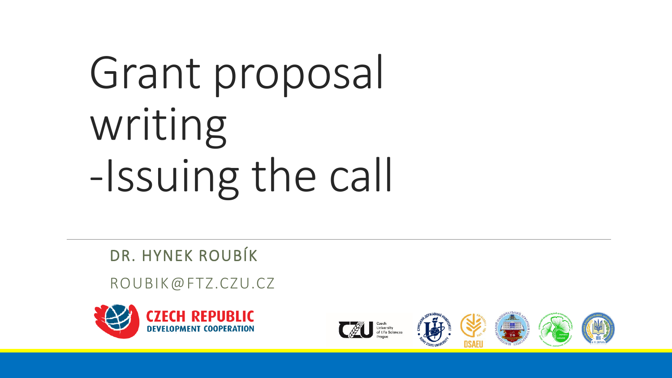# Grant proposal writing -Issuing the call

DR. HYNEK ROUBÍK

ROUBIK@FTZ.CZU.CZ









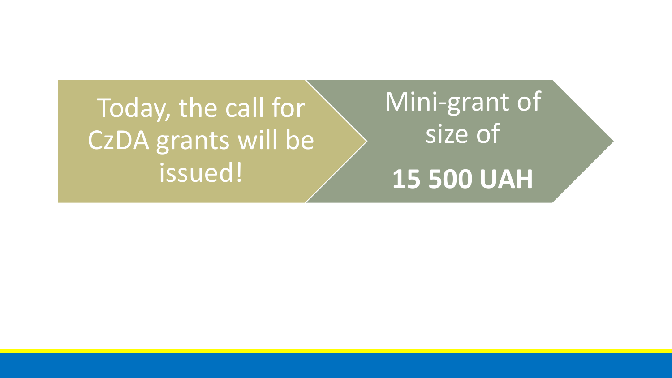### Today, the call for CzDA grants will be issued!

/

# Mini-grant of size of **15 500 UAH**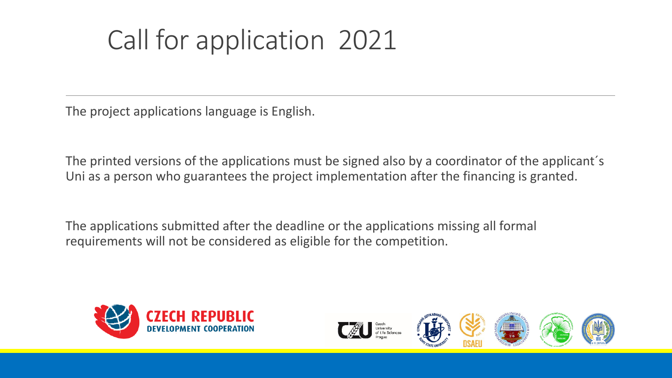### Call for application 2021

The project applications language is English.

The printed versions of the applications must be signed also by a coordinator of the applicant´s Uni as a person who guarantees the project implementation after the financing is granted.

The applications submitted after the deadline or the applications missing all formal requirements will not be considered as eligible for the competition.









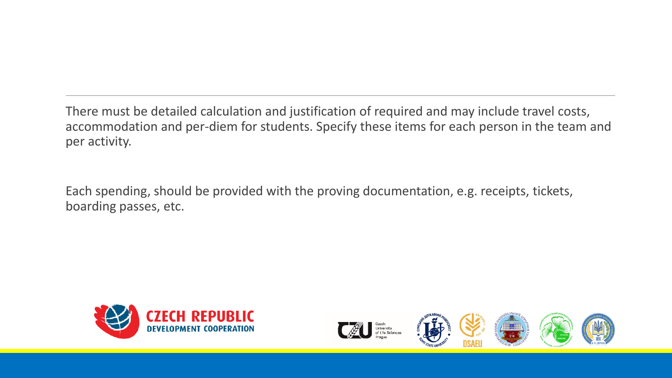There must be detailed calculation and justification of required and may include travel costs, accommodation and per-diem for students. Specify these items for each person in the team and per activity.

Each spending, should be provided with the proving documentation, e.g. receipts, tickets, boarding passes, etc.









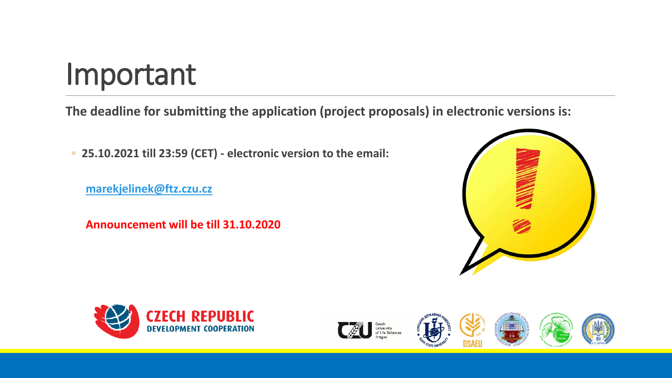## Important

**The deadline for submitting the application (project proposals) in electronic versions is:**

◦ **25.10.2021 till 23:59 (CET) - electronic version to the email:**

**[marekjelinek@ftz.czu.cz](mailto:marekjelinek@ftz.czu.cz)**

**Announcement will be till 31.10.2020**











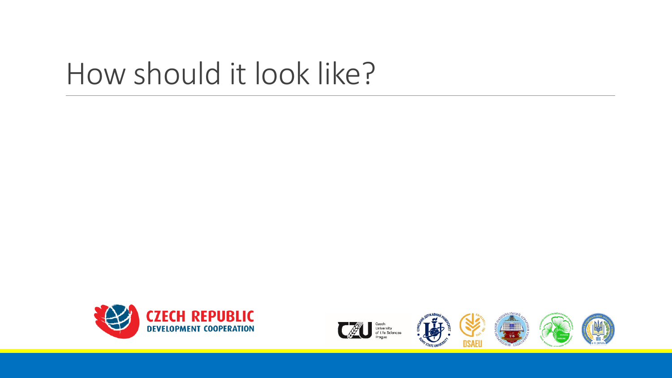## How should it look like?









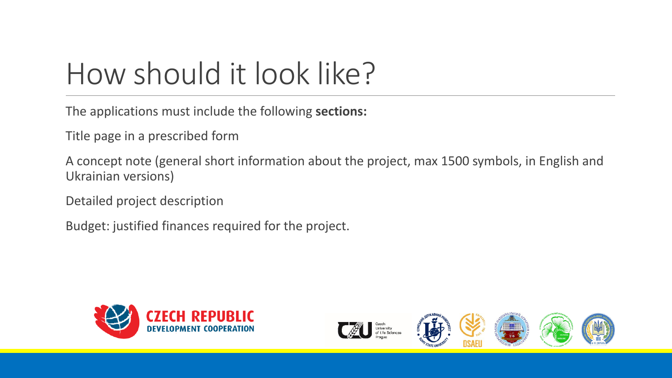# How should it look like?

The applications must include the following **sections:**

Title page in a prescribed form

A concept note (general short information about the project, max 1500 symbols, in English and Ukrainian versions)

Detailed project description

Budget: justified finances required for the project.









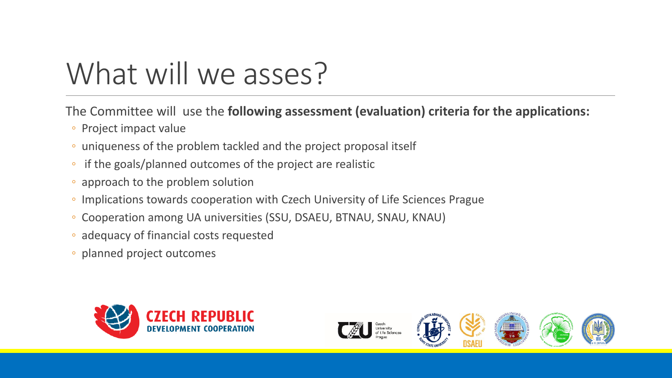# What will we asses?

The Committee will use the **following assessment (evaluation) criteria for the applications:**

- Project impact value
- uniqueness of the problem tackled and the project proposal itself
- if the goals/planned outcomes of the project are realistic
- approach to the problem solution
- Implications towards cooperation with Czech University of Life Sciences Prague
- Cooperation among UA universities (SSU, DSAEU, BTNAU, SNAU, KNAU)
- adequacy of financial costs requested
- planned project outcomes









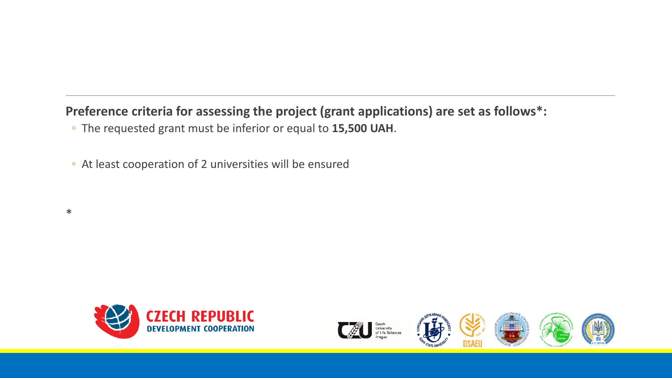#### **Preference criteria for assessing the project (grant applications) are set as follows\*:**

- The requested grant must be inferior or equal to **15,500 UAH**.
- At least cooperation of 2 universities will be ensured
- \*









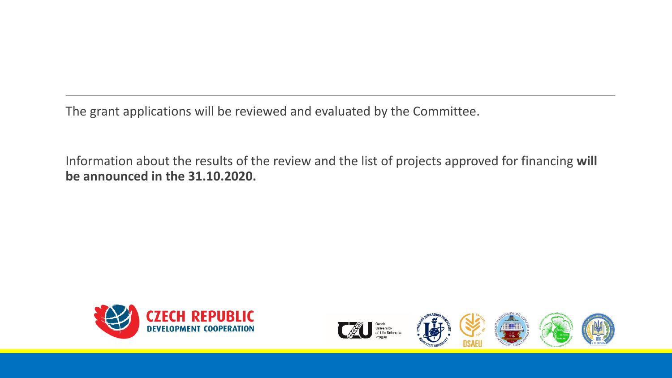The grant applications will be reviewed and evaluated by the Committee.

Information about the results of the review and the list of projects approved for financing **will be announced in the 31.10.2020.**









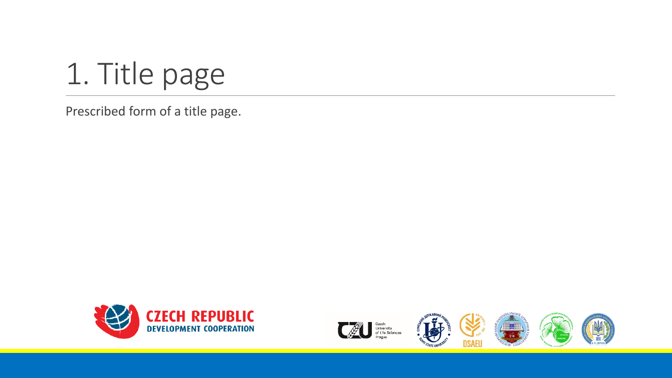

Prescribed form of a title page.









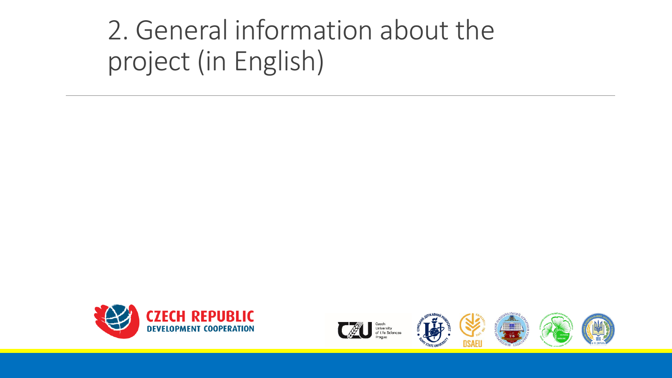### 2. General information about the project (in English)











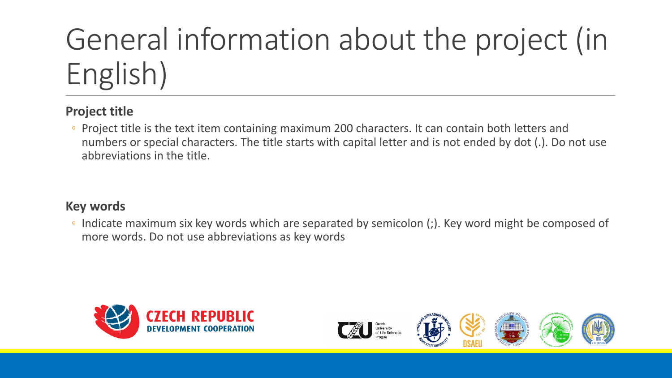# General information about the project (in English)

#### **Project title**

◦ Project title is the text item containing maximum 200 characters. It can contain both letters and numbers or special characters. The title starts with capital letter and is not ended by dot (.). Do not use abbreviations in the title.

#### **Key words**

◦ Indicate maximum six key words which are separated by semicolon (;). Key word might be composed of more words. Do not use abbreviations as key words









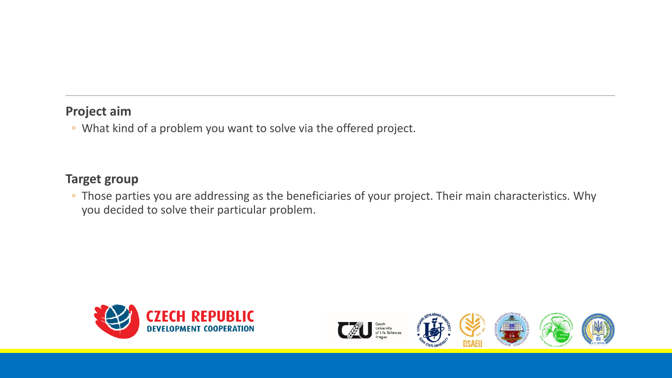#### **Project aim**

◦ What kind of a problem you want to solve via the offered project.

#### **Target group**

◦ Those parties you are addressing as the beneficiaries of your project. Their main characteristics. Why you decided to solve their particular problem.









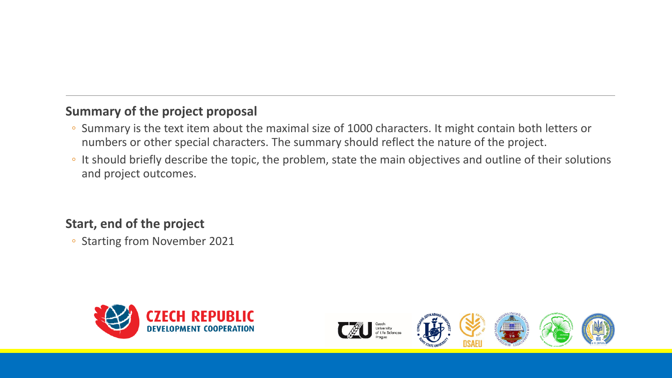#### **Summary of the project proposal**

- Summary is the text item about the maximal size of 1000 characters. It might contain both letters or numbers or other special characters. The summary should reflect the nature of the project.
- It should briefly describe the topic, the problem, state the main objectives and outline of their solutions and project outcomes.

#### **Start, end of the project**

◦ Starting from November 2021



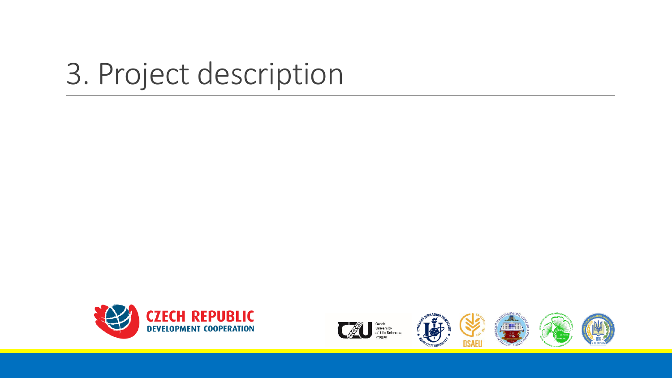## 3. Project description









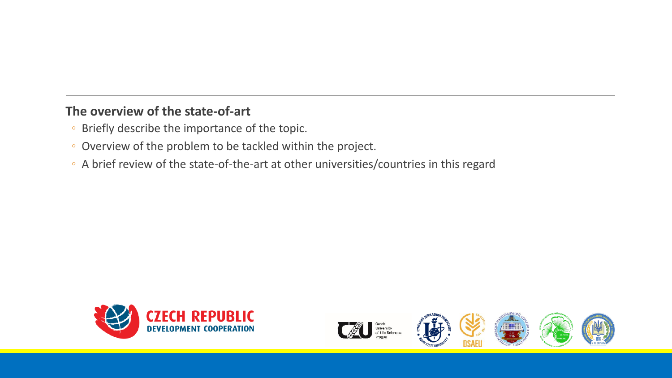#### **The overview of the state-of-art**

- Briefly describe the importance of the topic.
- Overview of the problem to be tackled within the project.
- A brief review of the state-of-the-art at other universities/countries in this regard









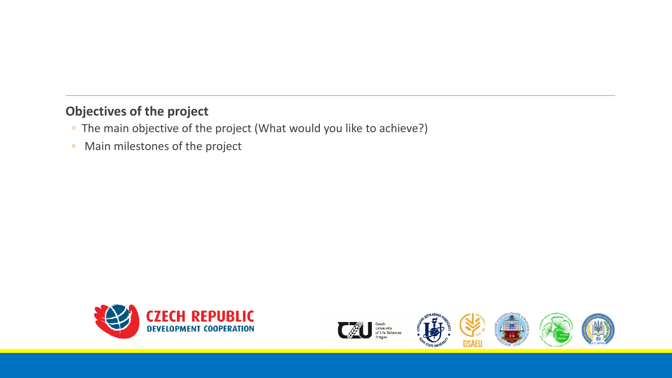#### **Objectives of the project**

- The main objective of the project (What would you like to achieve?)
- Main milestones of the project









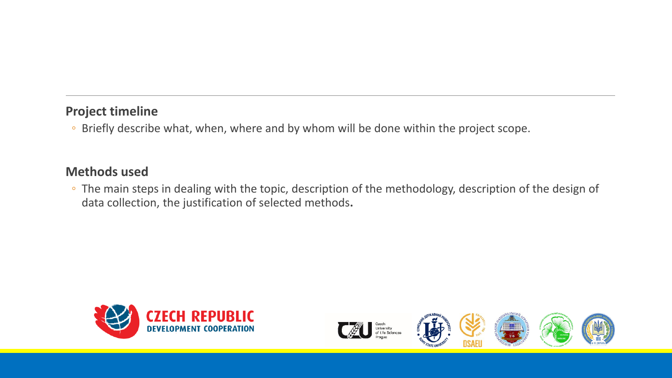#### **Project timeline**

◦ Briefly describe what, when, where and by whom will be done within the project scope.

#### **Methods used**

◦ The main steps in dealing with the topic, description of the methodology, description of the design of data collection, the justification of selected methods**.**









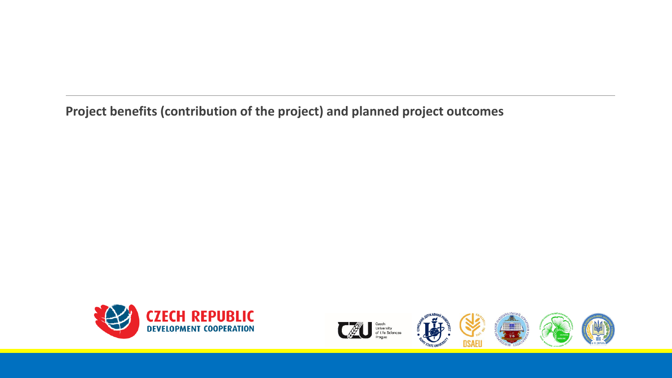**Project benefits (contribution of the project) and planned project outcomes**









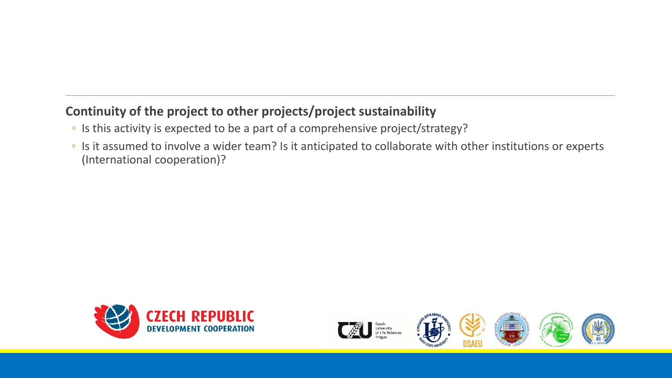#### **Continuity of the project to other projects/project sustainability**

- Is this activity is expected to be a part of a comprehensive project/strategy?
- Is it assumed to involve a wider team? Is it anticipated to collaborate with other institutions or experts (International cooperation)?









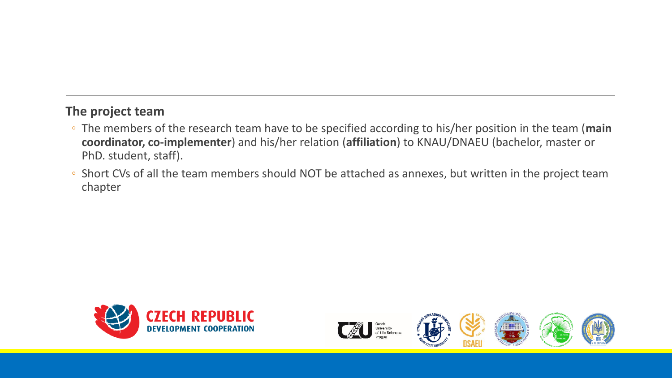#### **The project team**

- The members of the research team have to be specified according to his/her position in the team (**main coordinator, co-implementer**) and his/her relation (**affiliation**) to KNAU/DNAEU (bachelor, master or PhD. student, staff).
- Short CVs of all the team members should NOT be attached as annexes, but written in the project team chapter









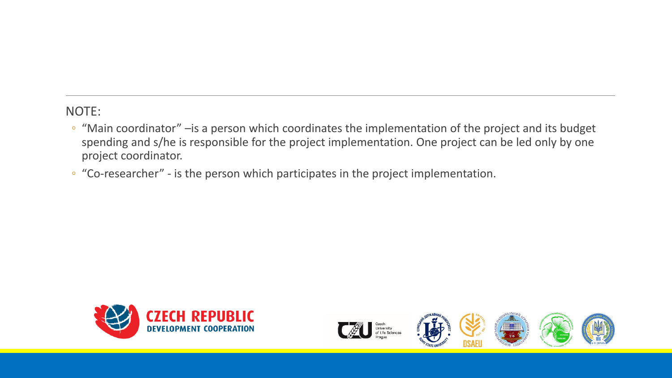NOTE:

- "Main coordinator" –is a person which coordinates the implementation of the project and its budget spending and s/he is responsible for the project implementation. One project can be led only by one project coordinator.
- "Co-researcher" is the person which participates in the project implementation.









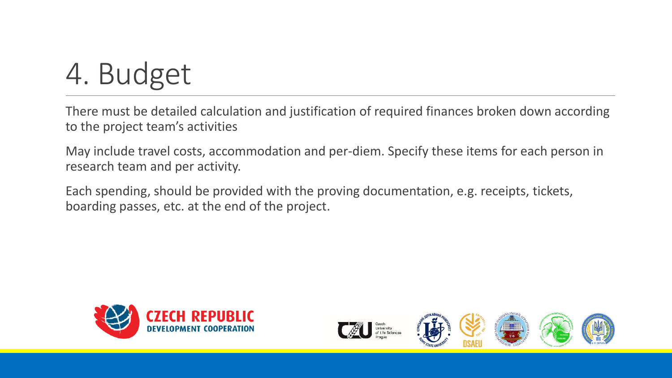# 4. Budget

There must be detailed calculation and justification of required finances broken down according to the project team's activities

May include travel costs, accommodation and per-diem. Specify these items for each person in research team and per activity.

Each spending, should be provided with the proving documentation, e.g. receipts, tickets, boarding passes, etc. at the end of the project.









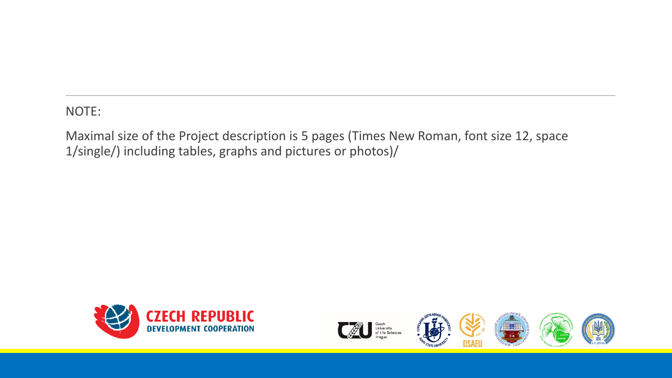NOTE:

Maximal size of the Project description is 5 pages (Times New Roman, font size 12, space 1/single/) including tables, graphs and pictures or photos)/